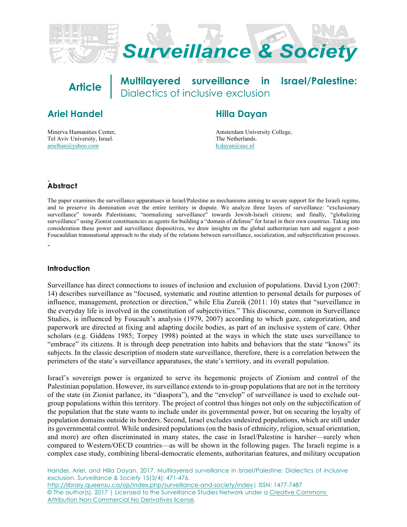

**Article Multilayered surveillance in Israel/Palestine:**  Dialectics of inclusive exclusion

# **Ariel Handel**

Minerva Humanities Center, Tel Aviv University, Israel. [arielhan@yahoo.com](mailto:arielhan@yahoo.com) 

### **Hilla Dayan**

Amsterdam University College, The Netherlands. [h.dayan@auc.nl](mailto:h.dayan@auc.nl) 

## **Abstract**

The paper examines the surveillance apparatuses in Israel/Palestine as mechanisms aiming to secure support for the Israeli regime, and to preserve its domination over the entire territory in dispute. We analyze three layers of surveillance: "exclusionary surveillance" towards Palestinians; "normalizing surveillance" towards Jewish-Israeli citizens; and finally, "globalizing surveillance" using Zionist constituencies as agents for building a "domain of defense" for Israel in their own countries. Taking into consideration these power and surveillance dispositives, we draw insights on the global authoritarian turn and suggest a post-Foucauldian transnational approach to the study of the relations between surveillance, socialization, and subjectification processes.

### **Introduction**

Surveillance has direct connections to issues of inclusion and exclusion of populations. David Lyon (2007: 14) describes surveillance as "focused, systematic and routine attention to personal details for purposes of influence, management, protection or direction," while Elia Zureik (2011: 10) states that "surveillance in the everyday life is involved in the constitution of subjectivities." This discourse, common in Surveillance Studies, is influenced by Foucault's analysis (1979, 2007) according to which gaze, categorization, and paperwork are directed at fixing and adapting docile bodies, as part of an inclusive system of care. Other scholars (e.g. Giddens 1985; Torpey 1998) pointed at the ways in which the state uses surveillance to "embrace" its citizens. It is through deep penetration into habits and behaviors that the state "knows" its subjects. In the classic description of modern state surveillance, therefore, there is a correlation between the perimeters of the state's surveillance apparatuses, the state's territory, and its overall population.

Israel's sovereign power is organized to serve its hegemonic projects of Zionism and control of the Palestinian population. However, its surveillance extends to in-group populations that are not in the territory of the state (in Zionist parlance, its "diaspora"), and the "envelop" of surveillance is used to exclude outgroup populations within this territory. The project of control thus hinges not only on the subjectification of the population that the state wants to include under its governmental power, but on securing the loyalty of population domains outside its borders. Second, Israel excludes undesired populations, which are still under its governmental control. While undesired populations (on the basis of ethnicity, religion, sexual orientation, and more) are often discriminated in many states, the case in Israel/Palestine is harsher—surely when compared to Western/OECD countries—as will be shown in the following pages. The Israeli regime is a complex case study, combining liberal-democratic elements, authoritarian features, and military occupation

Handel, Ariel, and Hilla Dayan. 2017. Multilayered surveillance in Israel/Palestine: Dialectics of inclusive exclusion. *Surveillance & Society* 15(3/4): 471-476. [http://library.queensu.ca/ojs/index.php/surveillance-and-society/index| IS](http://library.queensu.ca/ojs/index.php/surveillance-and-society/index|)SN: 1477-7487 © The author(s), 2017 | Licensed to the Surveillance Studies Network under a Creative Commons Attribution Non-Commercial No Derivatives license.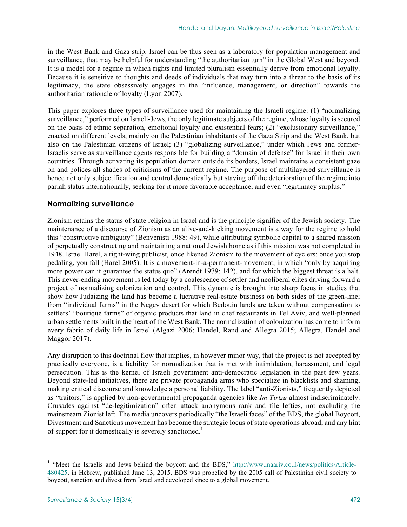in the West Bank and Gaza strip. Israel can be thus seen as a laboratory for population management and surveillance, that may be helpful for understanding "the authoritarian turn" in the Global West and beyond. It is a model for a regime in which rights and limited pluralism essentially derive from emotional loyalty. Because it is sensitive to thoughts and deeds of individuals that may turn into a threat to the basis of its legitimacy, the state obsessively engages in the "influence, management, or direction" towards the authoritarian rationale of loyalty (Lyon 2007).

This paper explores three types of surveillance used for maintaining the Israeli regime: (1) "normalizing surveillance," performed on Israeli-Jews, the only legitimate subjects of the regime, whose loyalty is secured on the basis of ethnic separation, emotional loyalty and existential fears; (2) "exclusionary surveillance," enacted on different levels, mainly on the Palestinian inhabitants of the Gaza Strip and the West Bank, but also on the Palestinian citizens of Israel; (3) "globalizing surveillance," under which Jews and former-Israelis serve as surveillance agents responsible for building a "domain of defense" for Israel in their own countries. Through activating its population domain outside its borders, Israel maintains a consistent gaze on and polices all shades of criticisms of the current regime. The purpose of multilayered surveillance is hence not only subjectification and control domestically but staving off the deterioration of the regime into pariah status internationally, seeking for it more favorable acceptance, and even "legitimacy surplus."

#### **Normalizing surveillance**

Zionism retains the status of state religion in Israel and is the principle signifier of the Jewish society. The maintenance of a discourse of Zionism as an alive-and-kicking movement is a way for the regime to hold this "constructive ambiguity" (Benvenisti 1988: 49), while attributing symbolic capital to a shared mission of perpetually constructing and maintaining a national Jewish home as if this mission was not completed in 1948. Israel Harel, a right-wing publicist, once likened Zionism to the movement of cyclers: once you stop pedaling, you fall (Harel 2005). It is a movement-in-a-permanent-movement, in which "only by acquiring more power can it guarantee the status quo" (Arendt 1979: 142), and for which the biggest threat is a halt. This never-ending movement is led today by a coalescence of settler and neoliberal elites driving forward a project of normalizing colonization and control. This dynamic is brought into sharp focus in studies that show how Judaizing the land has become a lucrative real-estate business on both sides of the green-line; from "individual farms" in the Negev desert for which Bedouin lands are taken without compensation to settlers' "boutique farms" of organic products that land in chef restaurants in Tel Aviv, and well-planned urban settlements built in the heart of the West Bank. The normalization of colonization has come to inform every fabric of daily life in Israel (Algazi 2006; Handel, Rand and Allegra 2015; Allegra, Handel and Maggor 2017).

Any disruption to this doctrinal flow that implies, in however minor way, that the project is not accepted by practically everyone, is a liability for normalization that is met with intimidation, harassment, and legal persecution. This is the kernel of Israeli government anti-democratic legislation in the past few years. Beyond state-led initiatives, there are private propaganda arms who specialize in blacklists and shaming, making critical discourse and knowledge a personal liability. The label "anti-Zionists," frequently depicted as "traitors," is applied by non-governmental propaganda agencies like *Im Tirtzu* almost indiscriminately. Crusades against "de-legitimization" often attack anonymous rank and file lefties, not excluding the mainstream Zionist left. The media uncovers periodically "the Israeli faces" of the BDS, the global Boycott, Divestment and Sanctions movement has become the strategic locus of state operations abroad, and any hint of support for it domestically is severely sanctioned.<sup>1</sup>

<sup>&</sup>lt;sup>1</sup> "Meet the Israelis and Jews behind the boycott and the BDS," [http://www.maariv.co.il/news/politics/Article-](http://www.maariv.co.il/news/politics/Article-480425)[480425, in](http://www.maariv.co.il/news/politics/Article-480425) Hebrew, published June 13, 2015. BDS was propelled by the 2005 call of Palestinian civil society to boycott, sanction and divest from Israel and developed since to a global movement.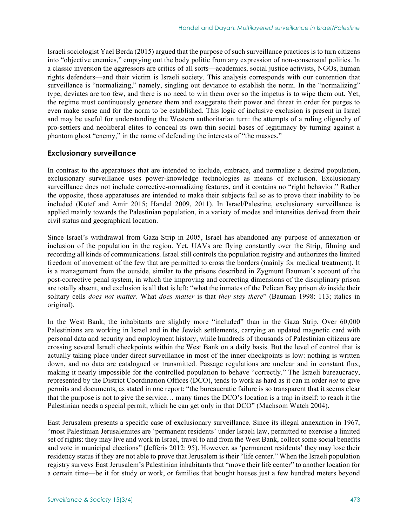Israeli sociologist Yael Berda (2015) argued that the purpose of such surveillance practices is to turn citizens into "objective enemies," emptying out the body politic from any expression of non-consensual politics. In a classic inversion the aggressors are critics of all sorts—academics, social justice activists, NGOs, human rights defenders—and their victim is Israeli society. This analysis corresponds with our contention that surveillance is "normalizing," namely, singling out deviance to establish the norm. In the "normalizing" type, deviates are too few, and there is no need to win them over so the impetus is to wipe them out. Yet, the regime must continuously generate them and exaggerate their power and threat in order for purges to even make sense and for the norm to be established. This logic of inclusive exclusion is present in Israel and may be useful for understanding the Western authoritarian turn: the attempts of a ruling oligarchy of pro-settlers and neoliberal elites to conceal its own thin social bases of legitimacy by turning against a phantom ghost "enemy," in the name of defending the interests of "the masses."

#### **Exclusionary surveillance**

In contrast to the apparatuses that are intended to include, embrace, and normalize a desired population, exclusionary surveillance uses power-knowledge technologies as means of exclusion. Exclusionary surveillance does not include corrective-normalizing features, and it contains no "right behavior." Rather the opposite, those apparatuses are intended to make their subjects fail so as to prove their inability to be included (Kotef and Amir 2015; Handel 2009, 2011). In Israel/Palestine, exclusionary surveillance is applied mainly towards the Palestinian population, in a variety of modes and intensities derived from their civil status and geographical location.

Since Israel's withdrawal from Gaza Strip in 2005, Israel has abandoned any purpose of annexation or inclusion of the population in the region. Yet, UAVs are flying constantly over the Strip, filming and recording all kinds of communications. Israel still controls the population registry and authorizes the limited freedom of movement of the few that are permitted to cross the borders (mainly for medical treatment). It is a management from the outside, similar to the prisons described in Zygmunt Bauman's account of the post-corrective penal system, in which the improving and correcting dimensions of the disciplinary prison are totally absent, and exclusion is all that is left: "what the inmates of the Pelican Bay prison *do* inside their solitary cells *does not matter*. What *does matter* is that *they stay there*" (Bauman 1998: 113; italics in original).

In the West Bank, the inhabitants are slightly more "included" than in the Gaza Strip. Over 60,000 Palestinians are working in Israel and in the Jewish settlements, carrying an updated magnetic card with personal data and security and employment history, while hundreds of thousands of Palestinian citizens are crossing several Israeli checkpoints within the West Bank on a daily basis. But the level of control that is actually taking place under direct surveillance in most of the inner checkpoints is low: nothing is written down, and no data are catalogued or transmitted. Passage regulations are unclear and in constant flux, making it nearly impossible for the controlled population to behave "correctly." The Israeli bureaucracy, represented by the District Coordination Offices (DCO), tends to work as hard as it can in order *not* to give permits and documents, as stated in one report: "the bureaucratic failure is so transparent that it seems clear that the purpose is not to give the service… many times the DCO's location is a trap in itself: to reach it the Palestinian needs a special permit, which he can get only in that DCO" (Machsom Watch 2004).

East Jerusalem presents a specific case of exclusionary surveillance. Since its illegal annexation in 1967, "most Palestinian Jerusalemites are 'permanent residents' under Israeli law, permitted to exercise a limited set of rights: they may live and work in Israel, travel to and from the West Bank, collect some social benefits and vote in municipal elections" (Jefferis 2012: 95). However, as 'permanent residents' they may lose their residency status if they are not able to prove that Jerusalem is their "life center." When the Israeli population registry surveys East Jerusalem's Palestinian inhabitants that "move their life center" to another location for a certain time—be it for study or work, or families that bought houses just a few hundred meters beyond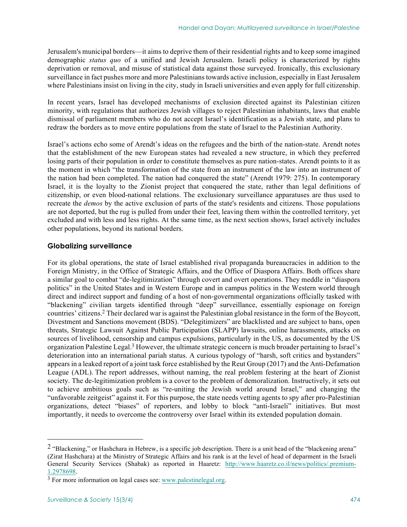Jerusalem's municipal borders—it aims to deprive them of their residential rights and to keep some imagined demographic *status quo* of a unified and Jewish Jerusalem. Israeli policy is characterized by rights deprivation or removal, and misuse of statistical data against those surveyed. Ironically, this exclusionary surveillance in fact pushes more and more Palestinians towards active inclusion, especially in East Jerusalem where Palestinians insist on living in the city, study in Israeli universities and even apply for full citizenship.

In recent years, Israel has developed mechanisms of exclusion directed against its Palestinian citizen minority, with regulations that authorizes Jewish villages to reject Palestinian inhabitants, laws that enable dismissal of parliament members who do not accept Israel's identification as a Jewish state, and plans to redraw the borders as to move entire populations from the state of Israel to the Palestinian Authority.

Israel's actions echo some of Arendt's ideas on the refugees and the birth of the nation-state. Arendt notes that the establishment of the new European states had revealed a new structure, in which they preferred losing parts of their population in order to constitute themselves as pure nation-states. Arendt points to it as the moment in which "the transformation of the state from an instrument of the law into an instrument of the nation had been completed. The nation had conquered the state" (Arendt 1979: 275). In contemporary Israel, it is the loyalty to the Zionist project that conquered the state, rather than legal definitions of citizenship, or even blood-national relations. The exclusionary surveillance apparatuses are thus used to recreate the *demos* by the active exclusion of parts of the state's residents and citizens. Those populations are not deported, but the rug is pulled from under their feet, leaving them within the controlled territory, yet excluded and with less and less rights. At the same time, as the next section shows, Israel actively includes other populations, beyond its national borders.

#### **Globalizing surveillance**

For its global operations, the state of Israel established rival propaganda bureaucracies in addition to the Foreign Ministry, in the Office of Strategic Affairs, and the Office of Diaspora Affairs. Both offices share a similar goal to combat "de-legitimization" through covert and overt operations. They meddle in "diaspora politics" in the United States and in Western Europe and in campus politics in the Western world through direct and indirect support and funding of a host of non-governmental organizations officially tasked with "blackening" civilian targets identified through "deep" surveillance, essentially espionage on foreign countries' citizens.2 Their declared war is against the Palestinian global resistance in the form of the Boycott, Divestment and Sanctions movement (BDS). "Delegitimizers" are blacklisted and are subject to bans, open threats, Strategic Lawsuit Against Public Participation (SLAPP) lawsuits, online harassments, attacks on sources of livelihood, censorship and campus expulsions, particularly in the US, as documented by the US organization Palestine Legal.3 However, the ultimate strategic concern is much broader pertaining to Israel's deterioration into an international pariah status. A curious typology of "harsh, soft critics and bystanders" appears in a leaked report of a joint task force established by the Reut Group (2017) and the Anti-Defamation League (ADL). The report addresses, without naming, the real problem festering at the heart of Zionist society. The de-legitimization problem is a cover to the problem of demoralization. Instructively, it sets out to achieve ambitious goals such as "re-uniting the Jewish world around Israel," and changing the "unfavorable zeitgeist" against it. For this purpose, the state needs vetting agents to spy after pro-Palestinian organizations, detect "biases" of reporters, and lobby to block "anti-Israeli" initiatives. But most importantly, it needs to overcome the controversy over Israel within its extended population domain.

<u>.</u>

 $2$  "Blackening," or Hashchara in Hebrew, is a specific job description. There is a unit head of the "blackening arena" (Zirat Hashchara) at the Ministry of Strategic Affairs and his rank is at the level of head of deparment in the Israeli General Security Services (Shabak) as reported in Haaretz: [http://www.haaretz.co.il/news/politics/.premium-](http://www.haaretz.co.il/news/politics/.premium-1.2978698)[1.2978698.](http://www.haaretz.co.il/news/politics/.premium-1.2978698)

<sup>3</sup> For more information on legal cases see: [www.palestinelegal.org.](http://www.palestinelegal.org)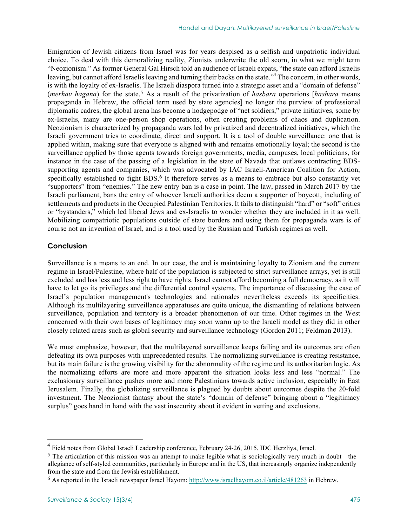Emigration of Jewish citizens from Israel was for years despised as a selfish and unpatriotic individual choice. To deal with this demoralizing reality, Zionists underwrite the old scorn, in what we might term "Neozionism." As former General Gal Hirsch told an audience of Israeli expats, "the state can afford Israelis leaving, but cannot afford Israelis leaving and turning their backs on the state."<sup>4</sup> The concern, in other words, is with the loyalty of ex-Israelis. The Israeli diaspora turned into a strategic asset and a "domain of defense" (*merhav hagana*) for the state.5 As a result of the privatization of *hasbara* operations [*hasbara* means propaganda in Hebrew, the official term used by state agencies] no longer the purview of professional diplomatic cadres, the global arena has become a hodgepodge of "net soldiers," private initiatives, some by ex-Israelis, many are one-person shop operations, often creating problems of chaos and duplication. Neozionism is characterized by propaganda wars led by privatized and decentralized initiatives, which the Israeli government tries to coordinate, direct and support. It is a tool of double surveillance: one that is applied within, making sure that everyone is aligned with and remains emotionally loyal; the second is the surveillance applied by those agents towards foreign governments, media, campuses, local politicians, for instance in the case of the passing of a legislation in the state of Navada that outlaws contracting BDSsupporting agents and companies, which was advocated by IAC Israeli-American Coalition for Action, specifically established to fight BDS.<sup>6</sup> It therefore serves as a means to embrace but also constantly vet "supporters" from "enemies." The new entry ban is a case in point. The law, passed in March 2017 by the Israeli parliament, bans the entry of whoever Israeli authorities deem a supporter of boycott, including of settlements and products in the Occupied Palestinian Territories. It fails to distinguish "hard" or "soft" critics or "bystanders," which led liberal Jews and ex-Israelis to wonder whether they are included in it as well. Mobilizing compatriotic populations outside of state borders and using them for propaganda wars is of course not an invention of Israel, and is a tool used by the Russian and Turkish regimes as well.

#### **Conclusion**

Surveillance is a means to an end. In our case, the end is maintaining loyalty to Zionism and the current regime in Israel/Palestine, where half of the population is subjected to strict surveillance arrays, yet is still excluded and has less and less right to have rights. Israel cannot afford becoming a full democracy, as it will have to let go its privileges and the differential control systems. The importance of discussing the case of Israel's population management's technologies and rationales nevertheless exceeds its specificities. Although its multilayering surveillance apparatuses are quite unique, the dismantling of relations between surveillance, population and territory is a broader phenomenon of our time. Other regimes in the West concerned with their own bases of legitimacy may soon warm up to the Israeli model as they did in other closely related areas such as global security and surveillance technology (Gordon 2011; Feldman 2013).

We must emphasize, however, that the multilayered surveillance keeps failing and its outcomes are often defeating its own purposes with unprecedented results. The normalizing surveillance is creating resistance, but its main failure is the growing visibility for the abnormality of the regime and its authoritarian logic. As the normalizing efforts are more and more apparent the situation looks less and less "normal." The exclusionary surveillance pushes more and more Palestinians towards active inclusion, especially in East Jerusalem. Finally, the globalizing surveillance is plagued by doubts about outcomes despite the 20-fold investment. The Neozionist fantasy about the state's "domain of defense" bringing about a "legitimacy surplus" goes hand in hand with the vast insecurity about it evident in vetting and exclusions.

<sup>&</sup>lt;sup>4</sup> Field notes from Global Israeli Leadership conference, February 24-26, 2015, IDC Herzliya, Israel.

 $<sup>5</sup>$  The articulation of this mission was an attempt to make legible what is sociologically very much in doubt—the</sup> allegiance of self-styled communities, particularly in Europe and in the US, that increasingly organize independently from the state and from the Jewish establishment.

<sup>6</sup> As reported in the Israeli newspaper Israel Hayom: <http://www.israelhayom.co.il/article/481263> in Hebrew.